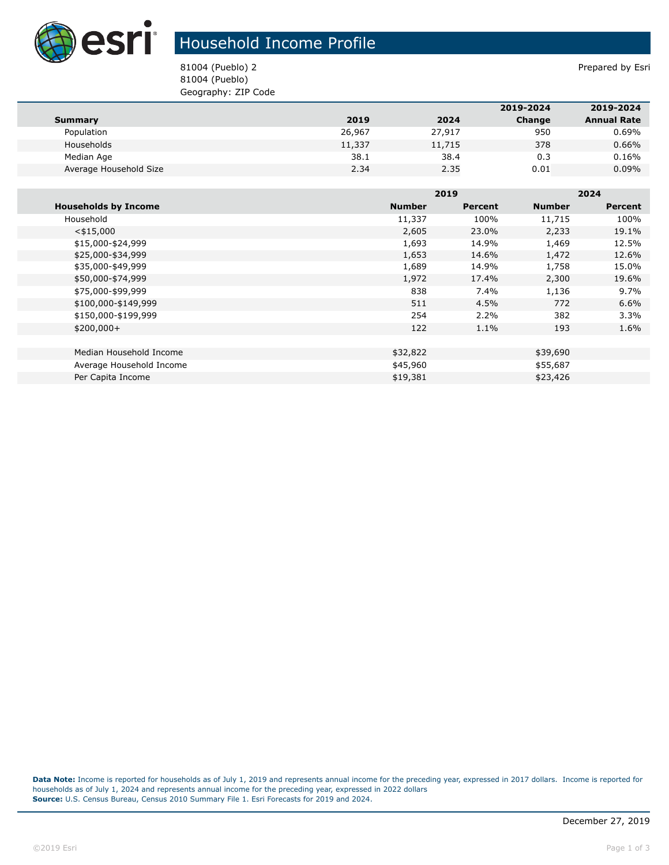

## Household Income Profile

81004 (Pueblo) 2 Prepared by Esri 81004 (Pueblo) Geography: ZIP Code

|                        |        |        | 2019-2024 | 2019-2024          |
|------------------------|--------|--------|-----------|--------------------|
| Summary                | 2019   | 2024   | Change    | <b>Annual Rate</b> |
| Population             | 26,967 | 27,917 | 950       | 0.69%              |
| Households             | 11,337 | 11,715 | 378       | 0.66%              |
| Median Age             | 38.1   | 38.4   | 0.3       | 0.16%              |
| Average Household Size | 2.34   | 2.35   | 0.01      | $0.09\%$           |

|                             |               | 2019    |               | 2024           |  |
|-----------------------------|---------------|---------|---------------|----------------|--|
| <b>Households by Income</b> | <b>Number</b> | Percent | <b>Number</b> | <b>Percent</b> |  |
| Household                   | 11,337        | 100%    | 11,715        | 100%           |  |
| $<$ \$15,000                | 2,605         | 23.0%   | 2,233         | 19.1%          |  |
| \$15,000-\$24,999           | 1,693         | 14.9%   | 1,469         | 12.5%          |  |
| \$25,000-\$34,999           | 1,653         | 14.6%   | 1,472         | 12.6%          |  |
| \$35,000-\$49,999           | 1,689         | 14.9%   | 1,758         | 15.0%          |  |
| \$50,000-\$74,999           | 1,972         | 17.4%   | 2,300         | 19.6%          |  |
| \$75,000-\$99,999           | 838           | 7.4%    | 1,136         | 9.7%           |  |
| \$100,000-\$149,999         | 511           | 4.5%    | 772           | 6.6%           |  |
| \$150,000-\$199,999         | 254           | 2.2%    | 382           | 3.3%           |  |
| $$200,000+$                 | 122           | 1.1%    | 193           | 1.6%           |  |
|                             |               |         |               |                |  |
| Median Household Income     | \$32,822      |         | \$39,690      |                |  |
| Average Household Income    | \$45,960      |         | \$55,687      |                |  |
| Per Capita Income           | \$19,381      |         | \$23,426      |                |  |

**Data Note:** Income is reported for households as of July 1, 2019 and represents annual income for the preceding year, expressed in 2017 dollars. Income is reported for households as of July 1, 2024 and represents annual income for the preceding year, expressed in 2022 dollars **Source:** U.S. Census Bureau, Census 2010 Summary File 1. Esri Forecasts for 2019 and 2024.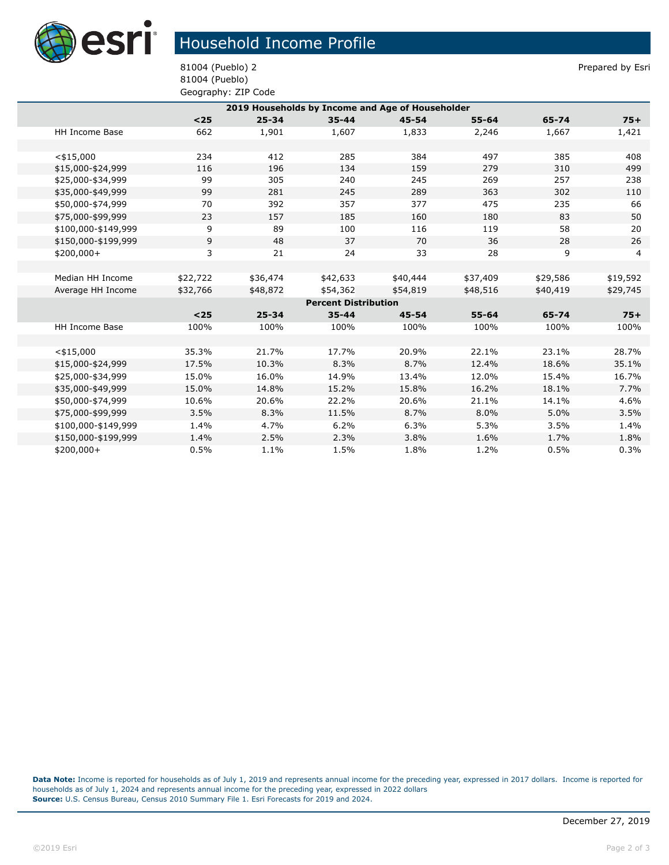

## Household Income Profile

81004 (Pueblo) 2 Prepared by Esri 81004 (Pueblo) Geography: ZIP Code

| 2019 Households by Income and Age of Householder |          |           |           |           |           |          |          |  |
|--------------------------------------------------|----------|-----------|-----------|-----------|-----------|----------|----------|--|
|                                                  | $25$     | $25 - 34$ | $35 - 44$ | $45 - 54$ | $55 - 64$ | 65-74    | $75+$    |  |
| <b>HH Income Base</b>                            | 662      | 1,901     | 1,607     | 1,833     | 2,246     | 1,667    | 1,421    |  |
|                                                  |          |           |           |           |           |          |          |  |
| $<$ \$15,000                                     | 234      | 412       | 285       | 384       | 497       | 385      | 408      |  |
| \$15,000-\$24,999                                | 116      | 196       | 134       | 159       | 279       | 310      | 499      |  |
| \$25,000-\$34,999                                | 99       | 305       | 240       | 245       | 269       | 257      | 238      |  |
| \$35,000-\$49,999                                | 99       | 281       | 245       | 289       | 363       | 302      | 110      |  |
| \$50,000-\$74,999                                | 70       | 392       | 357       | 377       | 475       | 235      | 66       |  |
| \$75,000-\$99,999                                | 23       | 157       | 185       | 160       | 180       | 83       | 50       |  |
| \$100,000-\$149,999                              | 9        | 89        | 100       | 116       | 119       | 58       | 20       |  |
| \$150,000-\$199,999                              | 9        | 48        | 37        | 70        | 36        | 28       | 26       |  |
| $$200,000+$                                      | 3        | 21        | 24        | 33        | 28        | 9        | 4        |  |
|                                                  |          |           |           |           |           |          |          |  |
| Median HH Income                                 | \$22,722 | \$36,474  | \$42,633  | \$40,444  | \$37,409  | \$29,586 | \$19,592 |  |
| Average HH Income                                | \$32,766 | \$48,872  | \$54,362  | \$54,819  | \$48,516  | \$40,419 | \$29,745 |  |
| <b>Percent Distribution</b>                      |          |           |           |           |           |          |          |  |
|                                                  | $25$     | $25 - 34$ | $35 - 44$ | $45 - 54$ | $55 - 64$ | 65-74    | $75+$    |  |
| <b>HH Income Base</b>                            | 100%     | 100%      | 100%      | 100%      | 100%      | 100%     | 100%     |  |
|                                                  |          |           |           |           |           |          |          |  |
| $<$ \$15,000                                     | 35.3%    | 21.7%     | 17.7%     | 20.9%     | 22.1%     | 23.1%    | 28.7%    |  |
| \$15,000-\$24,999                                | 17.5%    | 10.3%     | 8.3%      | 8.7%      | 12.4%     | 18.6%    | 35.1%    |  |
| \$25,000-\$34,999                                | 15.0%    | 16.0%     | 14.9%     | 13.4%     | 12.0%     | 15.4%    | 16.7%    |  |
| \$35,000-\$49,999                                | 15.0%    | 14.8%     | 15.2%     | 15.8%     | 16.2%     | 18.1%    | 7.7%     |  |
| \$50,000-\$74,999                                | 10.6%    | 20.6%     | 22.2%     | 20.6%     | 21.1%     | 14.1%    | 4.6%     |  |
| \$75,000-\$99,999                                | 3.5%     | 8.3%      | 11.5%     | 8.7%      | 8.0%      | 5.0%     | 3.5%     |  |
| \$100,000-\$149,999                              | 1.4%     | 4.7%      | 6.2%      | 6.3%      | 5.3%      | 3.5%     | 1.4%     |  |
| \$150,000-\$199,999                              | 1.4%     | 2.5%      | 2.3%      | 3.8%      | 1.6%      | 1.7%     | 1.8%     |  |
| $$200,000+$                                      | 0.5%     | 1.1%      | 1.5%      | 1.8%      | 1.2%      | 0.5%     | 0.3%     |  |

**Data Note:** Income is reported for households as of July 1, 2019 and represents annual income for the preceding year, expressed in 2017 dollars. Income is reported for households as of July 1, 2024 and represents annual income for the preceding year, expressed in 2022 dollars **Source:** U.S. Census Bureau, Census 2010 Summary File 1. Esri Forecasts for 2019 and 2024.